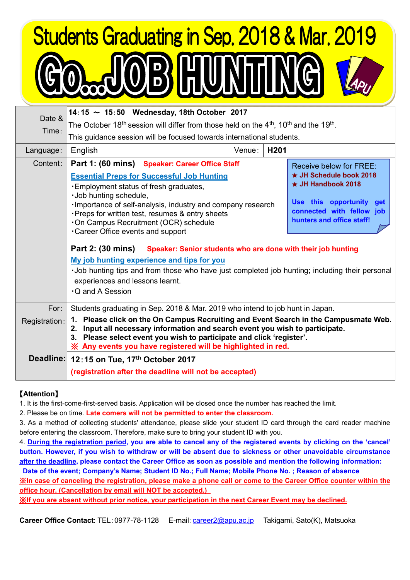## **Students Graduating in Sep. 2018 & Mar. 2019 OB HUNTIN**

| Date &        | 14:15 ~ 15:50 Wednesday, 18th October 2017                                                                                                                                                                                                                                                                  |                                                                           |                  |                           |  |  |
|---------------|-------------------------------------------------------------------------------------------------------------------------------------------------------------------------------------------------------------------------------------------------------------------------------------------------------------|---------------------------------------------------------------------------|------------------|---------------------------|--|--|
| Time:         | The October 18 <sup>th</sup> session will differ from those held on the $4th$ , 10 <sup>th</sup> and the 19 <sup>th</sup> .                                                                                                                                                                                 |                                                                           |                  |                           |  |  |
|               | This guidance session will be focused towards international students.                                                                                                                                                                                                                                       |                                                                           |                  |                           |  |  |
| Language:     | English                                                                                                                                                                                                                                                                                                     | Venue:                                                                    | H <sub>201</sub> |                           |  |  |
| Content:      |                                                                                                                                                                                                                                                                                                             | Part 1: (60 mins) Speaker: Career Office Staff<br>Receive below for FREE: |                  |                           |  |  |
|               | <b>Essential Preps for Successful Job Hunting</b><br>. Employment status of fresh graduates,<br>· Job hunting schedule,<br>Importance of self-analysis, industry and company research<br>· Preps for written test, resumes & entry sheets<br>. On Campus Recruitment (OCR) schedule                         |                                                                           |                  | ★ JH Schedule book 2018   |  |  |
|               |                                                                                                                                                                                                                                                                                                             |                                                                           |                  | $\star$ JH Handbook 2018  |  |  |
|               |                                                                                                                                                                                                                                                                                                             |                                                                           |                  | Use this opportunity get  |  |  |
|               |                                                                                                                                                                                                                                                                                                             |                                                                           |                  | connected with fellow job |  |  |
|               |                                                                                                                                                                                                                                                                                                             |                                                                           |                  | hunters and office staff! |  |  |
|               | . Career Office events and support                                                                                                                                                                                                                                                                          |                                                                           |                  |                           |  |  |
|               | Part 2: (30 mins)<br>Speaker: Senior students who are done with their job hunting                                                                                                                                                                                                                           |                                                                           |                  |                           |  |  |
|               | My job hunting experience and tips for you                                                                                                                                                                                                                                                                  |                                                                           |                  |                           |  |  |
|               | . Job hunting tips and from those who have just completed job hunting; including their personal                                                                                                                                                                                                             |                                                                           |                  |                           |  |  |
|               | experiences and lessons learnt.                                                                                                                                                                                                                                                                             |                                                                           |                  |                           |  |  |
|               | <b>Q</b> and A Session                                                                                                                                                                                                                                                                                      |                                                                           |                  |                           |  |  |
| For:          | Students graduating in Sep. 2018 & Mar. 2019 who intend to job hunt in Japan.                                                                                                                                                                                                                               |                                                                           |                  |                           |  |  |
| Registration: | 1. Please click on the On Campus Recruiting and Event Search in the Campusmate Web.<br>2. Input all necessary information and search event you wish to participate.<br>3. Please select event you wish to participate and click 'register'.<br>※ Any events you have registered will be highlighted in red. |                                                                           |                  |                           |  |  |
|               | Deadline: 12:15 on Tue, 17th October 2017                                                                                                                                                                                                                                                                   |                                                                           |                  |                           |  |  |
|               | (registration after the deadline will not be accepted)                                                                                                                                                                                                                                                      |                                                                           |                  |                           |  |  |

## 【**Attention**】

1. It is the first-come-first-served basis. Application will be closed once the number has reached the limit.

2. Please be on time. **Late comers will not be permitted to enter the classroom.**

3. As a method of collecting students' attendance, please slide your student ID card through the card reader machine before entering the classroom. Therefore, make sure to bring your student ID with you.

4. During the registration period, you are able to cancel any of the registered events by clicking on the 'cancel' button. However, if you wish to withdraw or will be absent due to sickness or other unavoidable circumstance after the deadline, please contact the Career Office as soon as possible and mention the following information: **Date of the event; Company's Name; Student ID No.; Full Name; Mobile Phone No. ; Reason of absence**

Xin case of canceling the registration, please make a phone call or come to the Career Office counter within the **office hour. (Cancellation by email will NOT be accepted.)**

※**If you are absent without prior notice, your participation in the next Career Event may be declined.**